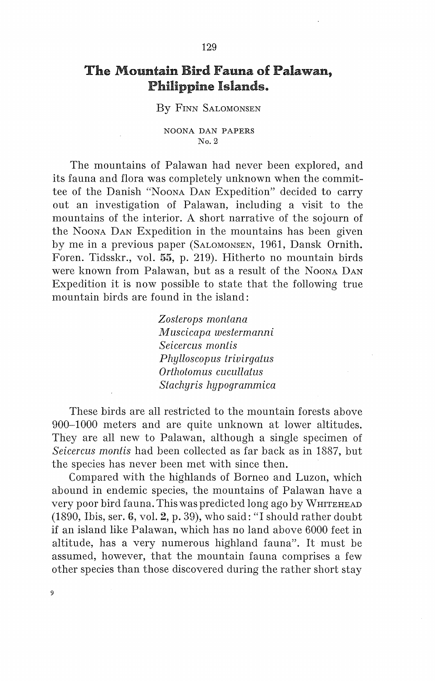# The Mountain Bird Fauna of Palawan, Philippine Islands"

### By FINN SALOMONSEN

#### NOONA DAN PAPERS *No.Z*

The mountains of Palawan had never been explored, and its fauna and flora was completely unknown when the committee of the Danish "NooNA DAN Expedition" decided to carry out an investigation of Palawan, including a visit to the mountains of the interior. A short narrative of the sojourn of the Noona Dan Expedition in the mountains has been given by me in a previous paper (SALOMONSEN, 1961, Dansk Ornith. Foren. Tidsskr., vol. 55, p. 219). Hitherto no mountain hirds were known from Palawan, but as a result of the Noona DAN Expedition it is now possible to state that the following true mountain hirds are found in the island:

> *Zostero ps montana Muscicapa westermanni Seicercus montis Phylloscopus triuirgatus Orthotomus cucullatus Stachyris hypogrammica*

These hirds are all restricted to the mountain forests above 900-1000 meters and are quite unknown at lower altitudes. They are all new to Palawan, although a single specimen of *Seicercus montis* had been collected as far back as in 1887, but the species has never been met with since then.

Compared with the highlands of Borneo and Luzon, which abound in endemic species, the mountains of Palawan have a very poor bird fauna. This was predicted long ago by WmTEHEAD (1890, Ibis, ser. 6, vol. 2, p. 39), who said: "I should rather doubt if anisland like Palawan, which has no land above 6000 feet in altitude, has a very numerous highland fauna". It must be assumed, however, that the mountain fauna comprises a few other species than those discovered during the rather short stay

9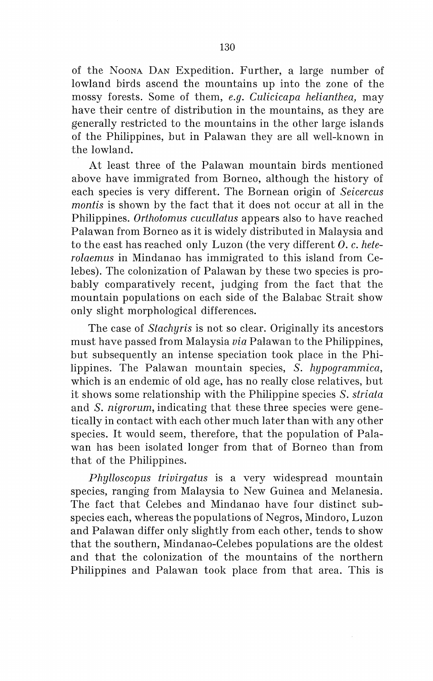of the NooNA DAN Expedition. Further, a large number of lowland birds ascend the mountains up into the zone of the mossy forests. Some of them, *e.g. Culicicapa helianthea,* may have their centre of distribution in the mountains, as they are generally restricted to the mountains in the other large islands of the Philippines, but in Palawan they are all well-known in the lowland.

At least three of the Palawan mountain birds mentioned above have immigrated from Borneo, although the history of each species is very different. The Bornean origin of *Seicercus montis* is shown by the faet that it does not occur at all in the Philippines. *Orthotomus cucullatus* appears also to have reached Palawan from Borneo as it is widely distributed in Malaysia and to the east has reached only Luzon (the very different *0.* c. *heterolaemus* in Mindanao has immigrated to this island from Celebes). The colonization of Palawan by these two species is probably comparatively recent, judging from the faet that the mountain populations on each side of the Balabac Strait show only slight morphological differences.

The case of *Stachyris* is not so clear. Originally its ancestors must have passed from Malaysia *via* Palawan to the Philippines, but subsequently an intense speciation took place in the Philippines. The Palawan mountain species, *S. hypogrammica,*  which is an endemic of old age, has no really close relatives, but it shows some relationship with the Philippine species *S. striata*  and *S. nigrorum,* indicating that these three species were genetically in contact with each other much later than with any other species. It would seem, therefore, that the population of Palawan has been isolated longer from that of Borneo than from that of the Philippines.

*Phylloscopus triuirgatus* is a very widespread mountain species, ranging from Malaysia to New Guinea and Melanesia. The faet that Celebes and Mindanao have four distinct subspecies each, whereas the populations of Negros, Mindoro, Luzon and Palawan differ only slightly from each other, tends to show that the southern, Mindanao-Celebes populations are the oldest and that the colonization of the mountains of the northern Philippines and Palawan took place from that area. This is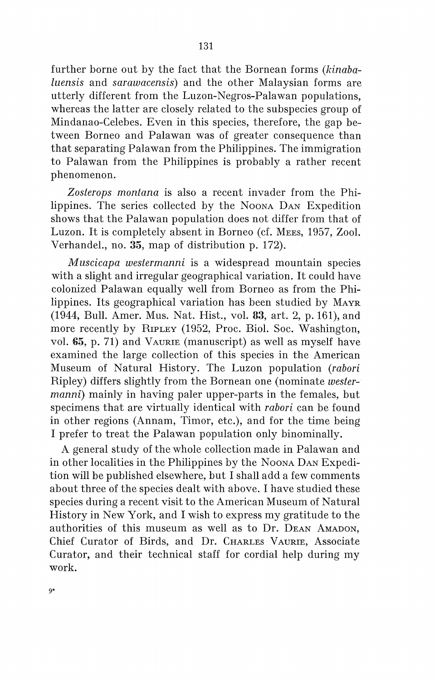further borne out by the faet that the Bornean forms *(kinabaluensis* and *sarawacensis)* and the other Malaysian forms are utterly different from the Luzon-Negros-Palawan populations, whereas the latter are closely related to the subspecies group of Mindanao-Celebes. Even in this species, therefore, the gap between Borneo and Palawan was of greater consequence than that separating Palawan from the Philippines. The immigration to Palawan from the Philippines is probably a rather recent phenomenon.

*Zosterops montana* is also a recent invader from the Philippines. The series collected by the Noona D<sub>AN</sub> Expedition shows that the Palawan population does not differ from that of Luzon. It is completely absent in Borneo (cf. MEES, 1957, Zool. Verhandel., no. 35, map of distribution p. 172).

*M uscicapa westermanni* is a widespread mountain species with a slight and irregular geographical variation. It could have colonized Palawan equally well from Borneo as from the Philippines. Its geographical variation has been studied by MAYR (1944, Bull. Arner. Mus. Nat. Hist., vol. 33, art. 2, p. 161), and more recently by RIPLEY (1952, Proc. Biol. Soc. Washington, vol.  $65$ , p. 71) and VAURIE (manuscript) as well as myself have examined the large collection of this species in the American Museum of Natura! History. The Luzon population *(rabori*  Ripley) differs slightly from the Bornean one (nominate *westermanni*) mainly in having paler upper-parts in the females, but specimens that are virtually identical with *rabori* can be found in other regions (Annam, Timor, etc.), and for the time being I prefer to treat the Palawan population only binominally.

A general study of the whole collection made in Palawan and in other localities in the Philippines by the Noona Dan Expedition will be published elsewhere, but I shall add a few comments about three of the species dealt with above. I have studied these species during a recent visit to the American Museum of Natural History in New York, and I wish to express my gratitude to the authorities of this museum as well as to Dr. DEAN AMADON, Chief Curator of Birds, and Dr. CHARLES VAURIE, Associate Curator, and their technical staff for cordial help during my work.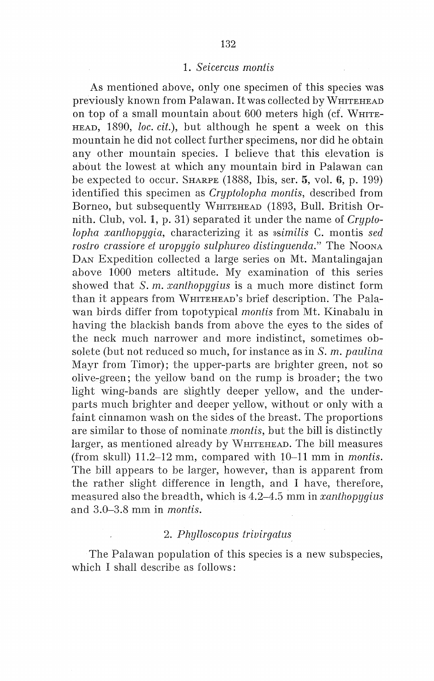## 1. *Seicercus montis*

As mentioned above, only one specimen of this species was previously known from Palawan. It was collected by WHITEHEAD on top of a small mountain about 600 meters high (cf. WHITE-HEAD, 1890, *loc. cit.*), but although he spent a week on this mountain he did not collect further specimens, nor did he obtain any other mountain species. I believe that this elevation is about the lowest at which any mountain bird in Palawan can be expected to occur. SHARPE (1888, Ibis, ser. 5, vol. 6, p. 199) identified this specimen as *Cryptolopha montis,* described from Borneo, but subsequently WHITEHEAD (1893, Bull. British Ornith. Club, vol. 1, p. 31) separated it under the name of *Cryptolopha xanthopygia,* characterizing it as *»similis* C. montis *sed rostro crassiore et uropygio sulphureo distinguenda.*" The Noona DAN Expedition collected a large series on Mt. Mantalingajan above 1000 meters altitude. My examination of this series showed that *S.m. xanthopygius* is a much more distinct form than it appears from WHITEHEAD's brief description. The Palawan hirds differ from topotypical *montis* from Mt. Kinabalu in having the blackish bands from above the eyes to the sides of the neck much narrower and more indistinct, sometimes obsolete (but not reduced so much, for instance as in *S. m. paulina*  Mayr from Timor); the upper-parts are brighter green, not so olive-green; the yellow band on the rump is broader; the two light wing-bands are slightly deeper yellow, and the underparts much brighter and deeper yellow, without or only with a faint cinnamon wash on the sides of the breast. The proportions are similar to those of nominate *montis,* but the bill is distinctly larger, as mentioned already by WHITEHEAD. The bill measures (from skull) 11.2-12 mm, compared with 10-11 mm in *montis.*  The bill appears to be larger, however, than is apparent from the rather slight difference in length, and I have, therefore, measured also the breadth, which is 4.2-4.5 mm in *xanthopygius*  and 3.0-3.8 mm in *montis.* 

# 2. *Phylloscopus trivirgatus*

The Palawan population of this species is a new subspecies, which I shall describe as follows: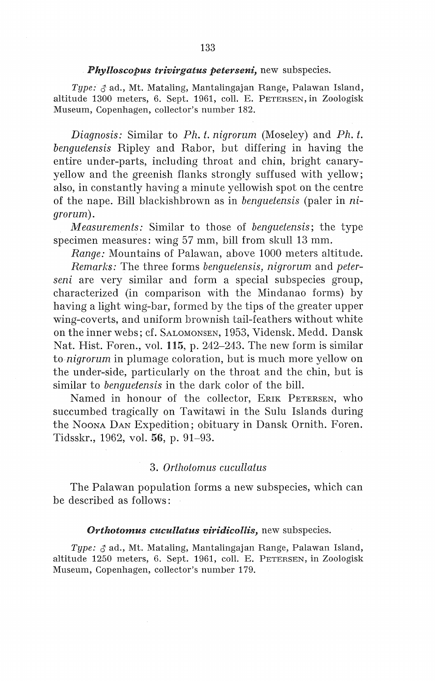### *Phylloscopus trivirgatus peterseni,* new subspecies.

*Type:*  $\delta$  ad., Mt. Mataling, Mantalingajan Range, Palawan Island, altitude 1300 meters, 6. Sept. 1961, coll. E. PETERSEN, in Zoologisk Museum, Copenhagen, collector's number 182.

*Diagnosis:* Similar to *Ph. t. nigrorum* (Moseley) and *Ph. t. benguetensis* Ripley and Rabor, but differing in having the entire under-parts, including throat and chin, bright canaryyellow and the greenish flanks strongly suffused with yellow; also, in constantly having a minute yellowish spot on the centre of the nape. Bill blackishbrown as in *benguetensis* (paler in *nigrorum).* 

*M easurements:* Similar to those of *benguetensis;* the type specimen measures: wing 57 mm, bill from skull 13 mm.

*Range:* Mountains of Palawan, above 1000 meters altitude.

*Remarks:* The three forms *benguetensis, nigrorum* and *peterseni* are very similar and form a special subspecies group, characterized (in comparison with the Mindanao forms) by having a light wing-bar, formed by the tips of the greater upper wing-coverts, and uniform brownish tail-feathers without white on the inner webs; cf. SALOMONSEN, 1953, Vidensk. Medd. Dansk Nat. Hist. Foren., vol. 115, p. 242-243. The new form is similar to *nigrorum* in plumage coloration, but is much more yellow on the under-side, particularly on the throat and the chin, but is similar to *benguetensis* in the dark color of the bill.

Named in honour of the collector, ERIK PETERSEN, who succumbed tragically on Tawitawi in the Sulu Islands during the NOONA DAN Expedition; obituary in Dansk Ornith. Foren. Tidsskr., 1962, vol. 56, p. 91-93.

### 3. *Orthotomus cucullatus*

The Palawan population forms a new subspecies, which can be described as follows:

### *Orthotomus cucullatus viridicollis,* new subspecies.

*Type:* d' ad., Mt. Mataling, Mantalingajan Range, Palawan Island, altitude 1250 meters, 6. Sept. 1961, coll. E. PETERSEN, in Zoologisk Museum, Copenhagen, collector's number 179.